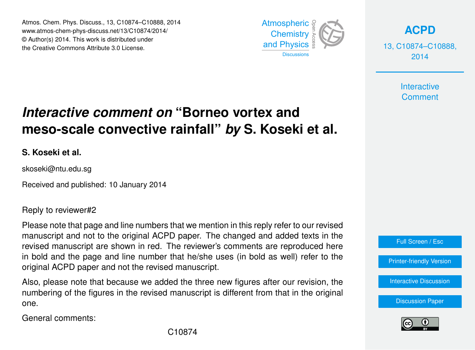Atmos. Chem. Phys. Discuss., 13, C10874–C10888, 2014 Atmospheric www.atmos-chem-phys-discuss.net/13/C10874/2014/<br>@ Author(a) 2014, This work is distributed under © Author(s) 2014. This work is distributed under the Creative Commons Attribute 3.0 License.  $14$ 



**[ACPD](http://www.atmos-chem-phys-discuss.net)**

13, C10874–C10888, 2014

> **Interactive Comment**

## meso-scale convective rainfall" *by* S. Koseki et al. ،<br>آ .<br>و *Interactive comment on* "Borneo vortex and

**S. Koseki et al.**

skoseki@ntu.edu.sg

Received and published: 10 January 2014

Reply to reviewer#2

manuscript and not to the original ACPD paper. The changed and added texts in the revised manuscript are shown in red. The reviewer's comments are reproduced here in bold and the page and line number that he/she uses (in bold as well) refer to the mode and the page and meaning that he core is a contract of the revised manuscript. ,<br>า<br>ท Data Systems u<br>e<br>e Please note that page and line numbers that we mention in this reply refer to our revised

adoo no dadd<br>bo rovineed i numbering of the figures in the revised manuscript is different from that in the original<br>one d<br>กะ S<br>) Also, please note that because we added the three new figures after our revision, the one.

General comments:



[Interactive Discussion](http://www.atmos-chem-phys-discuss.net/13/21079/2013/acpd-13-21079-2013-discussion.html)

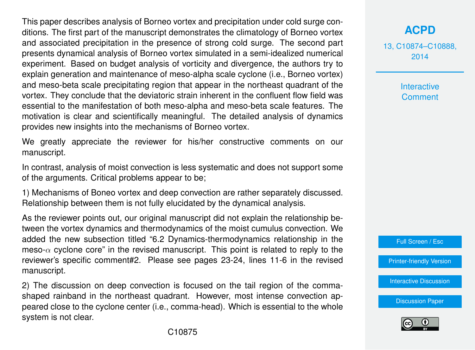This paper describes analysis of Borneo vortex and precipitation under cold surge conditions. The first part of the manuscript demonstrates the climatology of Borneo vortex and associated precipitation in the presence of strong cold surge. The second part presents dynamical analysis of Borneo vortex simulated in a semi-idealized numerical experiment. Based on budget analysis of vorticity and divergence, the authors try to explain generation and maintenance of meso-alpha scale cyclone (i.e., Borneo vortex) and meso-beta scale precipitating region that appear in the northeast quadrant of the vortex. They conclude that the deviatoric strain inherent in the confluent flow field was essential to the manifestation of both meso-alpha and meso-beta scale features. The motivation is clear and scientifically meaningful. The detailed analysis of dynamics provides new insights into the mechanisms of Borneo vortex.

We greatly appreciate the reviewer for his/her constructive comments on our manuscript.

In contrast, analysis of moist convection is less systematic and does not support some of the arguments. Critical problems appear to be;

1) Mechanisms of Boneo vortex and deep convection are rather separately discussed. Relationship between them is not fully elucidated by the dynamical analysis.

As the reviewer points out, our original manuscript did not explain the relationship between the vortex dynamics and thermodynamics of the moist cumulus convection. We added the new subsection titled "6.2 Dynamics-thermodynamics relationship in the meso- $\alpha$  cyclone core" in the revised manuscript. This point is related to reply to the reviewer's specific comment#2. Please see pages 23-24, lines 11-6 in the revised manuscript.

2) The discussion on deep convection is focused on the tail region of the commashaped rainband in the northeast quadrant. However, most intense convection appeared close to the cyclone center (i.e., comma-head). Which is essential to the whole system is not clear.

13, C10874–C10888, 2014

> Interactive **Comment**



[Printer-friendly Version](http://www.atmos-chem-phys-discuss.net/13/C10874/2014/acpd-13-C10874-2014-print.pdf)

[Interactive Discussion](http://www.atmos-chem-phys-discuss.net/13/21079/2013/acpd-13-21079-2013-discussion.html)

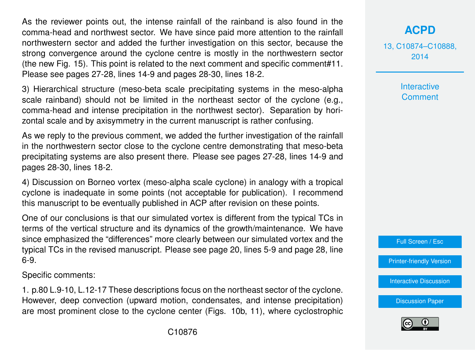As the reviewer points out, the intense rainfall of the rainband is also found in the comma-head and northwest sector. We have since paid more attention to the rainfall northwestern sector and added the further investigation on this sector, because the strong convergence around the cyclone centre is mostly in the northwestern sector (the new Fig. 15). This point is related to the next comment and specific comment#11. Please see pages 27-28, lines 14-9 and pages 28-30, lines 18-2.

3) Hierarchical structure (meso-beta scale precipitating systems in the meso-alpha scale rainband) should not be limited in the northeast sector of the cyclone (e.g., comma-head and intense precipitation in the northwest sector). Separation by horizontal scale and by axisymmetry in the current manuscript is rather confusing.

As we reply to the previous comment, we added the further investigation of the rainfall in the northwestern sector close to the cyclone centre demonstrating that meso-beta precipitating systems are also present there. Please see pages 27-28, lines 14-9 and pages 28-30, lines 18-2.

4) Discussion on Borneo vortex (meso-alpha scale cyclone) in analogy with a tropical cyclone is inadequate in some points (not acceptable for publication). I recommend this manuscript to be eventually published in ACP after revision on these points.

One of our conclusions is that our simulated vortex is different from the typical TCs in terms of the vertical structure and its dynamics of the growth/maintenance. We have since emphasized the "differences" more clearly between our simulated vortex and the typical TCs in the revised manuscript. Please see page 20, lines 5-9 and page 28, line 6-9.

Specific comments:

1. p.80 L.9-10, L.12-17 These descriptions focus on the northeast sector of the cyclone. However, deep convection (upward motion, condensates, and intense precipitation) are most prominent close to the cyclone center (Figs. 10b, 11), where cyclostrophic 13, C10874–C10888, 2014

> **Interactive Comment**



[Printer-friendly Version](http://www.atmos-chem-phys-discuss.net/13/C10874/2014/acpd-13-C10874-2014-print.pdf)

[Interactive Discussion](http://www.atmos-chem-phys-discuss.net/13/21079/2013/acpd-13-21079-2013-discussion.html)

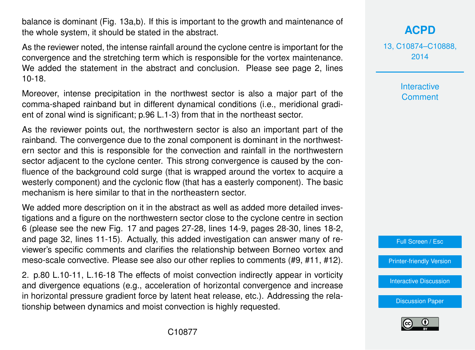balance is dominant (Fig. 13a,b). If this is important to the growth and maintenance of the whole system, it should be stated in the abstract.

As the reviewer noted, the intense rainfall around the cyclone centre is important for the convergence and the stretching term which is responsible for the vortex maintenance. We added the statement in the abstract and conclusion. Please see page 2, lines 10-18.

Moreover, intense precipitation in the northwest sector is also a major part of the comma-shaped rainband but in different dynamical conditions (i.e., meridional gradient of zonal wind is significant; p.96 L.1-3) from that in the northeast sector.

As the reviewer points out, the northwestern sector is also an important part of the rainband. The convergence due to the zonal component is dominant in the northwestern sector and this is responsible for the convection and rainfall in the northwestern sector adjacent to the cyclone center. This strong convergence is caused by the confluence of the background cold surge (that is wrapped around the vortex to acquire a westerly component) and the cyclonic flow (that has a easterly component). The basic mechanism is here similar to that in the northeastern sector.

We added more description on it in the abstract as well as added more detailed investigations and a figure on the northwestern sector close to the cyclone centre in section 6 (please see the new Fig. 17 and pages 27-28, lines 14-9, pages 28-30, lines 18-2, and page 32, lines 11-15). Actually, this added investigation can answer many of reviewer's specific comments and clarifies the relationship between Borneo vortex and meso-scale convective. Please see also our other replies to comments (#9, #11, #12).

2. p.80 L.10-11, L.16-18 The effects of moist convection indirectly appear in vorticity and divergence equations (e.g., acceleration of horizontal convergence and increase in horizontal pressure gradient force by latent heat release, etc.). Addressing the relationship between dynamics and moist convection is highly requested.

**[ACPD](http://www.atmos-chem-phys-discuss.net)**

13, C10874–C10888, 2014

> **Interactive Comment**



[Printer-friendly Version](http://www.atmos-chem-phys-discuss.net/13/C10874/2014/acpd-13-C10874-2014-print.pdf)

[Interactive Discussion](http://www.atmos-chem-phys-discuss.net/13/21079/2013/acpd-13-21079-2013-discussion.html)

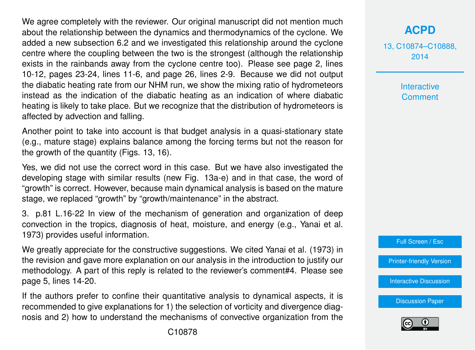We agree completely with the reviewer. Our original manuscript did not mention much about the relationship between the dynamics and thermodynamics of the cyclone. We added a new subsection 6.2 and we investigated this relationship around the cyclone centre where the coupling between the two is the strongest (although the relationship exists in the rainbands away from the cyclone centre too). Please see page 2, lines 10-12, pages 23-24, lines 11-6, and page 26, lines 2-9. Because we did not output the diabatic heating rate from our NHM run, we show the mixing ratio of hydrometeors instead as the indication of the diabatic heating as an indication of where diabatic heating is likely to take place. But we recognize that the distribution of hydrometeors is affected by advection and falling.

Another point to take into account is that budget analysis in a quasi-stationary state (e.g., mature stage) explains balance among the forcing terms but not the reason for the growth of the quantity (Figs. 13, 16).

Yes, we did not use the correct word in this case. But we have also investigated the developing stage with similar results (new Fig. 13a-e) and in that case, the word of "growth" is correct. However, because main dynamical analysis is based on the mature stage, we replaced "growth" by "growth/maintenance" in the abstract.

3. p.81 L.16-22 In view of the mechanism of generation and organization of deep convection in the tropics, diagnosis of heat, moisture, and energy (e.g., Yanai et al. 1973) provides useful information.

We greatly appreciate for the constructive suggestions. We cited Yanai et al. (1973) in the revision and gave more explanation on our analysis in the introduction to justify our methodology. A part of this reply is related to the reviewer's comment#4. Please see page 5, lines 14-20.

If the authors prefer to confine their quantitative analysis to dynamical aspects, it is recommended to give explanations for 1) the selection of vorticity and divergence diagnosis and 2) how to understand the mechanisms of convective organization from the 13, C10874–C10888, 2014

> **Interactive Comment**



[Printer-friendly Version](http://www.atmos-chem-phys-discuss.net/13/C10874/2014/acpd-13-C10874-2014-print.pdf)

[Interactive Discussion](http://www.atmos-chem-phys-discuss.net/13/21079/2013/acpd-13-21079-2013-discussion.html)

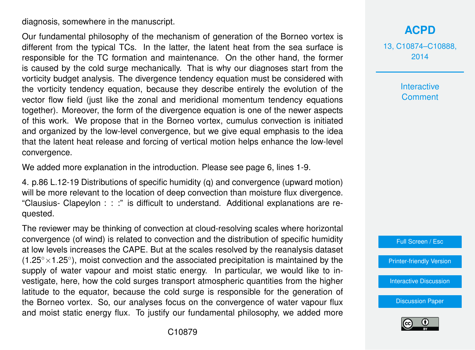diagnosis, somewhere in the manuscript.

Our fundamental philosophy of the mechanism of generation of the Borneo vortex is different from the typical TCs. In the latter, the latent heat from the sea surface is responsible for the TC formation and maintenance. On the other hand, the former is caused by the cold surge mechanically. That is why our diagnoses start from the vorticity budget analysis. The divergence tendency equation must be considered with the vorticity tendency equation, because they describe entirely the evolution of the vector flow field (just like the zonal and meridional momentum tendency equations together). Moreover, the form of the divergence equation is one of the newer aspects of this work. We propose that in the Borneo vortex, cumulus convection is initiated and organized by the low-level convergence, but we give equal emphasis to the idea that the latent heat release and forcing of vertical motion helps enhance the low-level convergence.

We added more explanation in the introduction. Please see page 6, lines 1-9.

4. p.86 L.12-19 Distributions of specific humidity (q) and convergence (upward motion) will be more relevant to the location of deep convection than moisture flux divergence. "Clausius- Clapeylon : : :" is difficult to understand. Additional explanations are requested.

The reviewer may be thinking of convection at cloud-resolving scales where horizontal convergence (of wind) is related to convection and the distribution of specific humidity at low levels increases the CAPE. But at the scales resolved by the reanalysis dataset  $(1.25° \times 1.25°)$ , moist convection and the associated precipitation is maintained by the supply of water vapour and moist static energy. In particular, we would like to investigate, here, how the cold surges transport atmospheric quantities from the higher latitude to the equator, because the cold surge is responsible for the generation of the Borneo vortex. So, our analyses focus on the convergence of water vapour flux and moist static energy flux. To justify our fundamental philosophy, we added more

**[ACPD](http://www.atmos-chem-phys-discuss.net)**

13, C10874–C10888, 2014

> Interactive **Comment**



[Printer-friendly Version](http://www.atmos-chem-phys-discuss.net/13/C10874/2014/acpd-13-C10874-2014-print.pdf)

[Interactive Discussion](http://www.atmos-chem-phys-discuss.net/13/21079/2013/acpd-13-21079-2013-discussion.html)

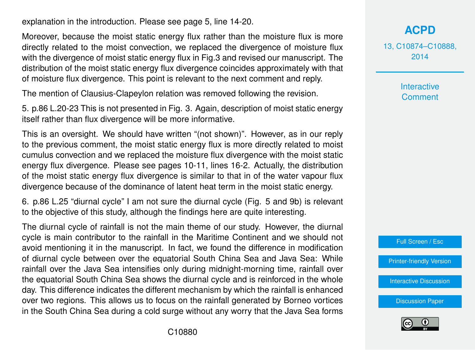explanation in the introduction. Please see page 5, line 14-20.

Moreover, because the moist static energy flux rather than the moisture flux is more directly related to the moist convection, we replaced the divergence of moisture flux with the divergence of moist static energy flux in Fig.3 and revised our manuscript. The distribution of the moist static energy flux divergence coincides approximately with that of moisture flux divergence. This point is relevant to the next comment and reply.

The mention of Clausius-Clapeylon relation was removed following the revision.

5. p.86 L.20-23 This is not presented in Fig. 3. Again, description of moist static energy itself rather than flux divergence will be more informative.

This is an oversight. We should have written "(not shown)". However, as in our reply to the previous comment, the moist static energy flux is more directly related to moist cumulus convection and we replaced the moisture flux divergence with the moist static energy flux divergence. Please see pages 10-11, lines 16-2. Actually, the distribution of the moist static energy flux divergence is similar to that in of the water vapour flux divergence because of the dominance of latent heat term in the moist static energy.

6. p.86 L.25 "diurnal cycle" I am not sure the diurnal cycle (Fig. 5 and 9b) is relevant to the objective of this study, although the findings here are quite interesting.

The diurnal cycle of rainfall is not the main theme of our study. However, the diurnal cycle is main contributor to the rainfall in the Maritime Continent and we should not avoid mentioning it in the manuscript. In fact, we found the difference in modification of diurnal cycle between over the equatorial South China Sea and Java Sea: While rainfall over the Java Sea intensifies only during midnight-morning time, rainfall over the equatorial South China Sea shows the diurnal cycle and is reinforced in the whole day. This difference indicates the different mechanism by which the rainfall is enhanced over two regions. This allows us to focus on the rainfall generated by Borneo vortices in the South China Sea during a cold surge without any worry that the Java Sea forms



13, C10874–C10888, 2014

> Interactive **Comment**



[Printer-friendly Version](http://www.atmos-chem-phys-discuss.net/13/C10874/2014/acpd-13-C10874-2014-print.pdf)

[Interactive Discussion](http://www.atmos-chem-phys-discuss.net/13/21079/2013/acpd-13-21079-2013-discussion.html)

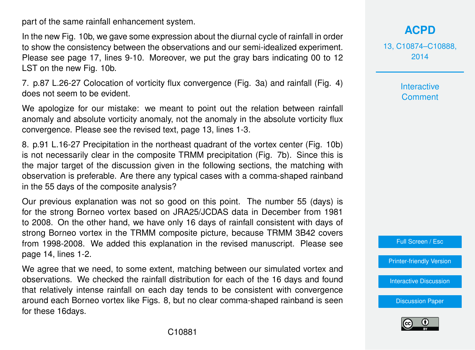part of the same rainfall enhancement system.

In the new Fig. 10b, we gave some expression about the diurnal cycle of rainfall in order to show the consistency between the observations and our semi-idealized experiment. Please see page 17, lines 9-10. Moreover, we put the gray bars indicating 00 to 12 LST on the new Fig. 10b.

7. p.87 L.26-27 Colocation of vorticity flux convergence (Fig. 3a) and rainfall (Fig. 4) does not seem to be evident.

We apologize for our mistake: we meant to point out the relation between rainfall anomaly and absolute vorticity anomaly, not the anomaly in the absolute vorticity flux convergence. Please see the revised text, page 13, lines 1-3.

8. p.91 L.16-27 Precipitation in the northeast quadrant of the vortex center (Fig. 10b) is not necessarily clear in the composite TRMM precipitation (Fig. 7b). Since this is the major target of the discussion given in the following sections, the matching with observation is preferable. Are there any typical cases with a comma-shaped rainband in the 55 days of the composite analysis?

Our previous explanation was not so good on this point. The number 55 (days) is for the strong Borneo vortex based on JRA25/JCDAS data in December from 1981 to 2008. On the other hand, we have only 16 days of rainfall consistent with days of strong Borneo vortex in the TRMM composite picture, because TRMM 3B42 covers from 1998-2008. We added this explanation in the revised manuscript. Please see page 14, lines 1-2.

We agree that we need, to some extent, matching between our simulated vortex and observations. We checked the rainfall distribution for each of the 16 days and found that relatively intense rainfall on each day tends to be consistent with convergence around each Borneo vortex like Figs. 8, but no clear comma-shaped rainband is seen for these 16days.

**[ACPD](http://www.atmos-chem-phys-discuss.net)**

13, C10874–C10888, 2014

> Interactive **Comment**

Full Screen / Esc

[Printer-friendly Version](http://www.atmos-chem-phys-discuss.net/13/C10874/2014/acpd-13-C10874-2014-print.pdf)

[Interactive Discussion](http://www.atmos-chem-phys-discuss.net/13/21079/2013/acpd-13-21079-2013-discussion.html)

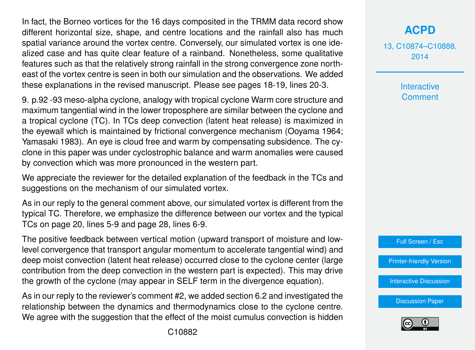In fact, the Borneo vortices for the 16 days composited in the TRMM data record show different horizontal size, shape, and centre locations and the rainfall also has much spatial variance around the vortex centre. Conversely, our simulated vortex is one idealized case and has quite clear feature of a rainband. Nonetheless, some qualitative features such as that the relatively strong rainfall in the strong convergence zone northeast of the vortex centre is seen in both our simulation and the observations. We added these explanations in the revised manuscript. Please see pages 18-19, lines 20-3.

9. p.92 -93 meso-alpha cyclone, analogy with tropical cyclone Warm core structure and maximum tangential wind in the lower troposphere are similar between the cyclone and a tropical cyclone (TC). In TCs deep convection (latent heat release) is maximized in the eyewall which is maintained by frictional convergence mechanism (Ooyama 1964; Yamasaki 1983). An eye is cloud free and warm by compensating subsidence. The cyclone in this paper was under cyclostrophic balance and warm anomalies were caused by convection which was more pronounced in the western part.

We appreciate the reviewer for the detailed explanation of the feedback in the TCs and suggestions on the mechanism of our simulated vortex.

As in our reply to the general comment above, our simulated vortex is different from the typical TC. Therefore, we emphasize the difference between our vortex and the typical TCs on page 20, lines 5-9 and page 28, lines 6-9.

The positive feedback between vertical motion (upward transport of moisture and lowlevel convergence that transport angular momentum to accelerate tangential wind) and deep moist convection (latent heat release) occurred close to the cyclone center (large contribution from the deep convection in the western part is expected). This may drive the growth of the cyclone (may appear in SELF term in the divergence equation).

As in our reply to the reviewer's comment #2, we added section 6.2 and investigated the relationship between the dynamics and thermodynamics close to the cyclone centre. We agree with the suggestion that the effect of the moist cumulus convection is hidden 13, C10874–C10888, 2014

> **Interactive Comment**



[Printer-friendly Version](http://www.atmos-chem-phys-discuss.net/13/C10874/2014/acpd-13-C10874-2014-print.pdf)

[Interactive Discussion](http://www.atmos-chem-phys-discuss.net/13/21079/2013/acpd-13-21079-2013-discussion.html)

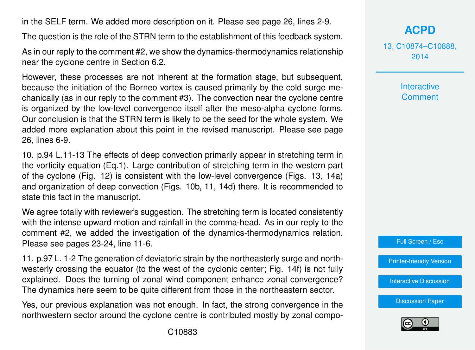in the SELF term. We added more description on it. Please see page 26, lines 2-9.

The question is the role of the STRN term to the establishment of this feedback system.

As in our reply to the comment #2, we show the dynamics-thermodynamics relationship near the cyclone centre in Section 6.2.

However, these processes are not inherent at the formation stage, but subsequent, because the initiation of the Borneo vortex is caused primarily by the cold surge mechanically (as in our reply to the comment #3). The convection near the cyclone centre is organized by the low-level convergence itself after the meso-alpha cyclone forms. Our conclusion is that the STRN term is likely to be the seed for the whole system. We added more explanation about this point in the revised manuscript. Please see page 26, lines 6-9.

10. p.94 L.11-13 The effects of deep convection primarily appear in stretching term in the vorticity equation (Eq.1). Large contribution of stretching term in the western part of the cyclone (Fig. 12) is consistent with the low-level convergence (Figs. 13, 14a) and organization of deep convection (Figs. 10b, 11, 14d) there. It is recommended to state this fact in the manuscript.

We agree totally with reviewer's suggestion. The stretching term is located consistently with the intense upward motion and rainfall in the comma-head. As in our reply to the comment #2, we added the investigation of the dynamics-thermodynamics relation. Please see pages 23-24, line 11-6.

11. p.97 L. 1-2 The generation of deviatoric strain by the northeasterly surge and northwesterly crossing the equator (to the west of the cyclonic center; Fig. 14f) is not fully explained. Does the turning of zonal wind component enhance zonal convergence? The dynamics here seem to be quite different from those in the northeastern sector.

Yes, our previous explanation was not enough. In fact, the strong convergence in the northwestern sector around the cyclone centre is contributed mostly by zonal compo**[ACPD](http://www.atmos-chem-phys-discuss.net)**

13, C10874–C10888, 2014

> **Interactive Comment**



[Printer-friendly Version](http://www.atmos-chem-phys-discuss.net/13/C10874/2014/acpd-13-C10874-2014-print.pdf)

[Interactive Discussion](http://www.atmos-chem-phys-discuss.net/13/21079/2013/acpd-13-21079-2013-discussion.html)

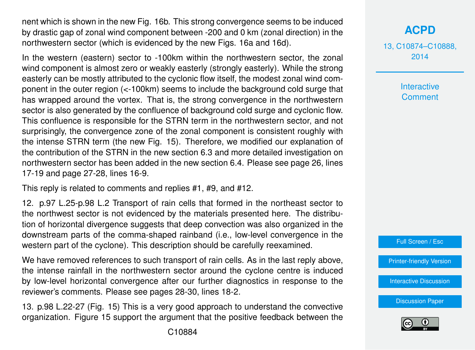nent which is shown in the new Fig. 16b. This strong convergence seems to be induced by drastic gap of zonal wind component between -200 and 0 km (zonal direction) in the northwestern sector (which is evidenced by the new Figs. 16a and 16d).

In the western (eastern) sector to -100km within the northwestern sector, the zonal wind component is almost zero or weakly easterly (strongly easterly). While the strong easterly can be mostly attributed to the cyclonic flow itself, the modest zonal wind component in the outer region (<-100km) seems to include the background cold surge that has wrapped around the vortex. That is, the strong convergence in the northwestern sector is also generated by the confluence of background cold surge and cyclonic flow. This confluence is responsible for the STRN term in the northwestern sector, and not surprisingly, the convergence zone of the zonal component is consistent roughly with the intense STRN term (the new Fig. 15). Therefore, we modified our explanation of the contribution of the STRN in the new section 6.3 and more detailed investigation on northwestern sector has been added in the new section 6.4. Please see page 26, lines 17-19 and page 27-28, lines 16-9.

This reply is related to comments and replies #1, #9, and #12.

12. p.97 L.25-p.98 L.2 Transport of rain cells that formed in the northeast sector to the northwest sector is not evidenced by the materials presented here. The distribution of horizontal divergence suggests that deep convection was also organized in the downstream parts of the comma-shaped rainband (i.e., low-level convergence in the western part of the cyclone). This description should be carefully reexamined.

We have removed references to such transport of rain cells. As in the last reply above, the intense rainfall in the northwestern sector around the cyclone centre is induced by low-level horizontal convergence after our further diagnostics in response to the reviewer's comments. Please see pages 28-30, lines 18-2.

13. p.98 L.22-27 (Fig. 15) This is a very good approach to understand the convective organization. Figure 15 support the argument that the positive feedback between the 13, C10874–C10888, 2014

> **Interactive Comment**



[Printer-friendly Version](http://www.atmos-chem-phys-discuss.net/13/C10874/2014/acpd-13-C10874-2014-print.pdf)

[Interactive Discussion](http://www.atmos-chem-phys-discuss.net/13/21079/2013/acpd-13-21079-2013-discussion.html)

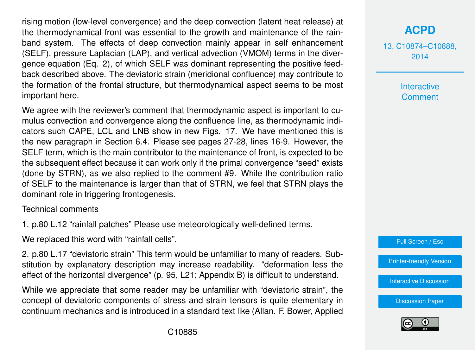rising motion (low-level convergence) and the deep convection (latent heat release) at the thermodynamical front was essential to the growth and maintenance of the rainband system. The effects of deep convection mainly appear in self enhancement (SELF), pressure Laplacian (LAP), and vertical advection (VMOM) terms in the divergence equation (Eq. 2), of which SELF was dominant representing the positive feedback described above. The deviatoric strain (meridional confluence) may contribute to the formation of the frontal structure, but thermodynamical aspect seems to be most important here.

We agree with the reviewer's comment that thermodynamic aspect is important to cumulus convection and convergence along the confluence line, as thermodynamic indicators such CAPE, LCL and LNB show in new Figs. 17. We have mentioned this is the new paragraph in Section 6.4. Please see pages 27-28, lines 16-9. However, the SELF term, which is the main contributor to the maintenance of front, is expected to be the subsequent effect because it can work only if the primal convergence "seed" exists (done by STRN), as we also replied to the comment #9. While the contribution ratio of SELF to the maintenance is larger than that of STRN, we feel that STRN plays the dominant role in triggering frontogenesis.

Technical comments

1. p.80 L.12 "rainfall patches" Please use meteorologically well-defined terms.

We replaced this word with "rainfall cells".

2. p.80 L.17 "deviatoric strain" This term would be unfamiliar to many of readers. Substitution by explanatory description may increase readability. "deformation less the effect of the horizontal divergence" (p. 95, L21; Appendix B) is difficult to understand.

While we appreciate that some reader may be unfamiliar with "deviatoric strain", the concept of deviatoric components of stress and strain tensors is quite elementary in continuum mechanics and is introduced in a standard text like (Allan. F. Bower, Applied **[ACPD](http://www.atmos-chem-phys-discuss.net)**

13, C10874–C10888, 2014

> **Interactive Comment**

Full Screen / Esc

[Printer-friendly Version](http://www.atmos-chem-phys-discuss.net/13/C10874/2014/acpd-13-C10874-2014-print.pdf)

[Interactive Discussion](http://www.atmos-chem-phys-discuss.net/13/21079/2013/acpd-13-21079-2013-discussion.html)

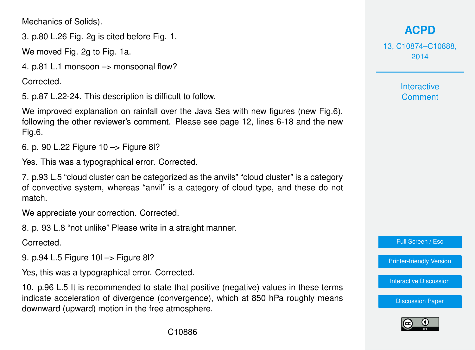Mechanics of Solids).

3. p.80 L.26 Fig. 2g is cited before Fig. 1.

We moved Fig. 2g to Fig. 1a.

4. p.81 L.1 monsoon –> monsoonal flow?

Corrected.

5. p.87 L.22-24. This description is difficult to follow.

We improved explanation on rainfall over the Java Sea with new figures (new Fig.6), following the other reviewer's comment. Please see page 12, lines 6-18 and the new Fig.6.

6. p. 90 L.22 Figure 10 –> Figure 8l?

Yes. This was a typographical error. Corrected.

7. p.93 L.5 "cloud cluster can be categorized as the anvils" "cloud cluster" is a category of convective system, whereas "anvil" is a category of cloud type, and these do not match.

We appreciate your correction. Corrected.

8. p. 93 L.8 "not unlike" Please write in a straight manner.

Corrected.

9. p.94 L.5 Figure 10l –> Figure 8l?

Yes, this was a typographical error. Corrected.

10. p.96 L.5 It is recommended to state that positive (negative) values in these terms indicate acceleration of divergence (convergence), which at 850 hPa roughly means downward (upward) motion in the free atmosphere.

## **[ACPD](http://www.atmos-chem-phys-discuss.net)**

13, C10874–C10888, 2014

> **Interactive Comment**

Full Screen / Esc

[Printer-friendly Version](http://www.atmos-chem-phys-discuss.net/13/C10874/2014/acpd-13-C10874-2014-print.pdf)

[Interactive Discussion](http://www.atmos-chem-phys-discuss.net/13/21079/2013/acpd-13-21079-2013-discussion.html)

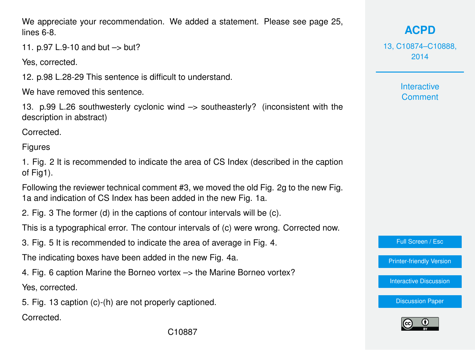We appreciate your recommendation. We added a statement. Please see page 25, lines 6-8.

11. p.97 L.9-10 and but –> but?

Yes, corrected.

12. p.98 L.28-29 This sentence is difficult to understand.

We have removed this sentence.

13. p.99 L.26 southwesterly cyclonic wind –> southeasterly? (inconsistent with the description in abstract)

Corrected.

Figures

1. Fig. 2 It is recommended to indicate the area of CS Index (described in the caption of Fig1).

Following the reviewer technical comment #3, we moved the old Fig. 2g to the new Fig. 1a and indication of CS Index has been added in the new Fig. 1a.

2. Fig. 3 The former (d) in the captions of contour intervals will be (c).

This is a typographical error. The contour intervals of (c) were wrong. Corrected now.

3. Fig. 5 It is recommended to indicate the area of average in Fig. 4.

The indicating boxes have been added in the new Fig. 4a.

4. Fig. 6 caption Marine the Borneo vortex –> the Marine Borneo vortex?

Yes, corrected.

5. Fig. 13 caption (c)-(h) are not properly captioned.

Corrected.

**[ACPD](http://www.atmos-chem-phys-discuss.net)**

13, C10874–C10888, 2014

> **Interactive Comment**

Full Screen / Esc

[Printer-friendly Version](http://www.atmos-chem-phys-discuss.net/13/C10874/2014/acpd-13-C10874-2014-print.pdf)

[Interactive Discussion](http://www.atmos-chem-phys-discuss.net/13/21079/2013/acpd-13-21079-2013-discussion.html)